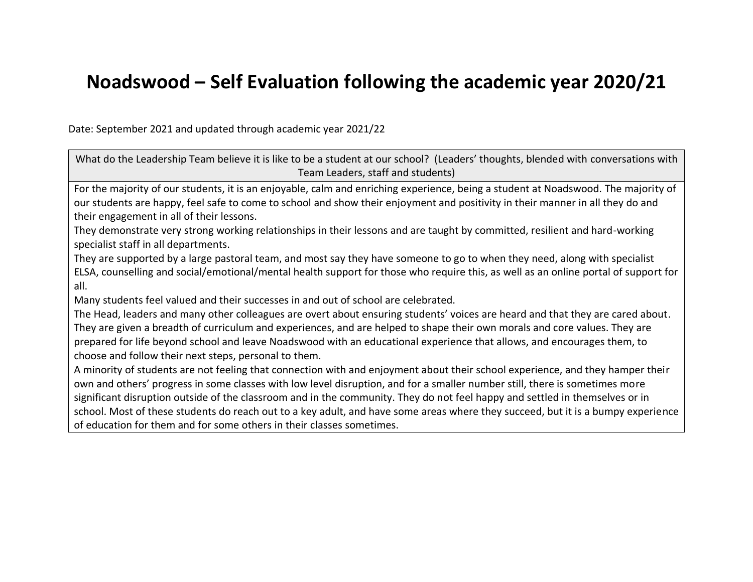## **Noadswood – Self Evaluation following the academic year 2020/21**

Date: September 2021 and updated through academic year 2021/22

What do the Leadership Team believe it is like to be a student at our school? (Leaders' thoughts, blended with conversations with Team Leaders, staff and students) For the majority of our students, it is an enjoyable, calm and enriching experience, being a student at Noadswood. The majority of our students are happy, feel safe to come to school and show their enjoyment and positivity in their manner in all they do and their engagement in all of their lessons. They demonstrate very strong working relationships in their lessons and are taught by committed, resilient and hard-working specialist staff in all departments. They are supported by a large pastoral team, and most say they have someone to go to when they need, along with specialist ELSA, counselling and social/emotional/mental health support for those who require this, as well as an online portal of support for all. Many students feel valued and their successes in and out of school are celebrated. The Head, leaders and many other colleagues are overt about ensuring students' voices are heard and that they are cared about. They are given a breadth of curriculum and experiences, and are helped to shape their own morals and core values. They are prepared for life beyond school and leave Noadswood with an educational experience that allows, and encourages them, to choose and follow their next steps, personal to them. A minority of students are not feeling that connection with and enjoyment about their school experience, and they hamper their own and others' progress in some classes with low level disruption, and for a smaller number still, there is sometimes more significant disruption outside of the classroom and in the community. They do not feel happy and settled in themselves or in school. Most of these students do reach out to a key adult, and have some areas where they succeed, but it is a bumpy experience of education for them and for some others in their classes sometimes.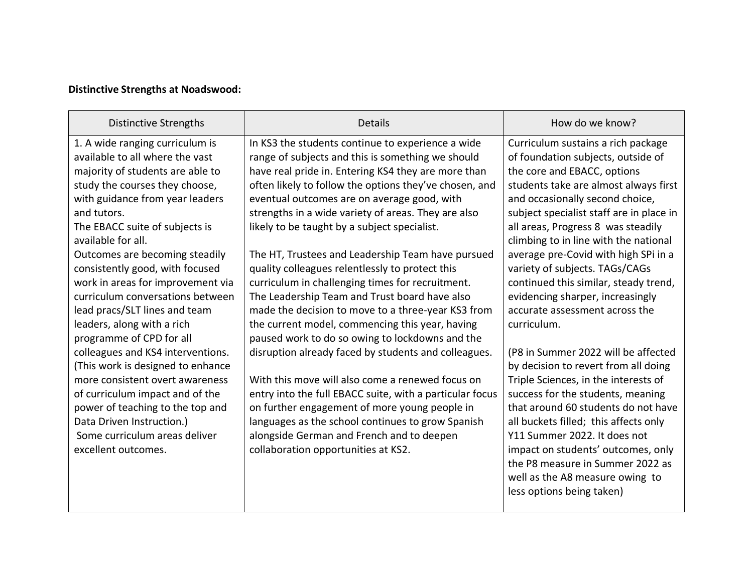## **Distinctive Strengths at Noadswood:**

| <b>Distinctive Strengths</b>                                                                                                                                                                                                                                                                                                                                                                                                                                                                                                                                                                                                                                                                                                                                         | <b>Details</b>                                                                                                                                                                                                                                                                                                                                                                                                                                                                                                                                                                                                                                                                                                                                                                                                                                                                                                                                                                                                                                                                                                           | How do we know?                                                                                                                                                                                                                                                                                                                                                                                                                                                                                                                                                                                                                                                                                                                                                                                                                                                                                                                              |
|----------------------------------------------------------------------------------------------------------------------------------------------------------------------------------------------------------------------------------------------------------------------------------------------------------------------------------------------------------------------------------------------------------------------------------------------------------------------------------------------------------------------------------------------------------------------------------------------------------------------------------------------------------------------------------------------------------------------------------------------------------------------|--------------------------------------------------------------------------------------------------------------------------------------------------------------------------------------------------------------------------------------------------------------------------------------------------------------------------------------------------------------------------------------------------------------------------------------------------------------------------------------------------------------------------------------------------------------------------------------------------------------------------------------------------------------------------------------------------------------------------------------------------------------------------------------------------------------------------------------------------------------------------------------------------------------------------------------------------------------------------------------------------------------------------------------------------------------------------------------------------------------------------|----------------------------------------------------------------------------------------------------------------------------------------------------------------------------------------------------------------------------------------------------------------------------------------------------------------------------------------------------------------------------------------------------------------------------------------------------------------------------------------------------------------------------------------------------------------------------------------------------------------------------------------------------------------------------------------------------------------------------------------------------------------------------------------------------------------------------------------------------------------------------------------------------------------------------------------------|
| 1. A wide ranging curriculum is<br>available to all where the vast<br>majority of students are able to<br>study the courses they choose,<br>with guidance from year leaders<br>and tutors.<br>The EBACC suite of subjects is<br>available for all.<br>Outcomes are becoming steadily<br>consistently good, with focused<br>work in areas for improvement via<br>curriculum conversations between<br>lead pracs/SLT lines and team<br>leaders, along with a rich<br>programme of CPD for all<br>colleagues and KS4 interventions.<br>(This work is designed to enhance<br>more consistent overt awareness<br>of curriculum impact and of the<br>power of teaching to the top and<br>Data Driven Instruction.)<br>Some curriculum areas deliver<br>excellent outcomes. | In KS3 the students continue to experience a wide<br>range of subjects and this is something we should<br>have real pride in. Entering KS4 they are more than<br>often likely to follow the options they've chosen, and<br>eventual outcomes are on average good, with<br>strengths in a wide variety of areas. They are also<br>likely to be taught by a subject specialist.<br>The HT, Trustees and Leadership Team have pursued<br>quality colleagues relentlessly to protect this<br>curriculum in challenging times for recruitment.<br>The Leadership Team and Trust board have also<br>made the decision to move to a three-year KS3 from<br>the current model, commencing this year, having<br>paused work to do so owing to lockdowns and the<br>disruption already faced by students and colleagues.<br>With this move will also come a renewed focus on<br>entry into the full EBACC suite, with a particular focus<br>on further engagement of more young people in<br>languages as the school continues to grow Spanish<br>alongside German and French and to deepen<br>collaboration opportunities at KS2. | Curriculum sustains a rich package<br>of foundation subjects, outside of<br>the core and EBACC, options<br>students take are almost always first<br>and occasionally second choice,<br>subject specialist staff are in place in<br>all areas, Progress 8 was steadily<br>climbing to in line with the national<br>average pre-Covid with high SPi in a<br>variety of subjects. TAGs/CAGs<br>continued this similar, steady trend,<br>evidencing sharper, increasingly<br>accurate assessment across the<br>curriculum.<br>(P8 in Summer 2022 will be affected<br>by decision to revert from all doing<br>Triple Sciences, in the interests of<br>success for the students, meaning<br>that around 60 students do not have<br>all buckets filled; this affects only<br>Y11 Summer 2022. It does not<br>impact on students' outcomes, only<br>the P8 measure in Summer 2022 as<br>well as the A8 measure owing to<br>less options being taken) |
|                                                                                                                                                                                                                                                                                                                                                                                                                                                                                                                                                                                                                                                                                                                                                                      |                                                                                                                                                                                                                                                                                                                                                                                                                                                                                                                                                                                                                                                                                                                                                                                                                                                                                                                                                                                                                                                                                                                          |                                                                                                                                                                                                                                                                                                                                                                                                                                                                                                                                                                                                                                                                                                                                                                                                                                                                                                                                              |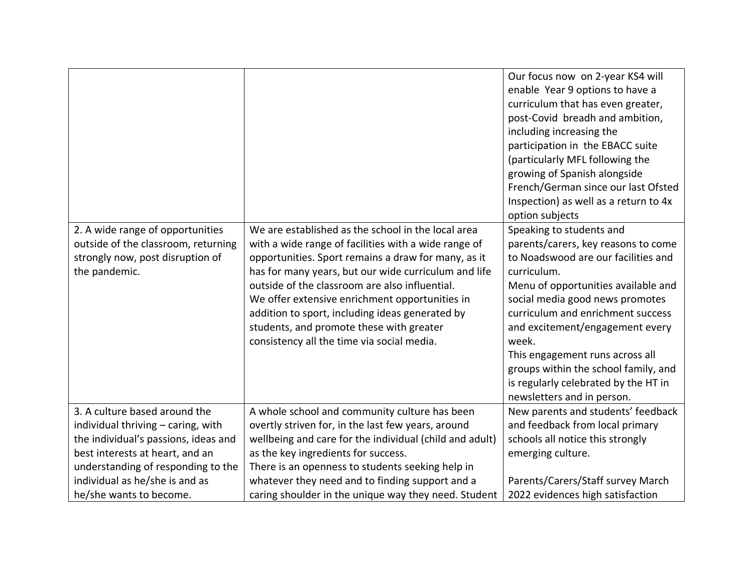|                                                                                                                              |                                                                                                                                                                                                                                                                                                                                                                                                                                                                            | Our focus now on 2-year KS4 will<br>enable Year 9 options to have a<br>curriculum that has even greater,<br>post-Covid breadh and ambition,<br>including increasing the<br>participation in the EBACC suite<br>(particularly MFL following the<br>growing of Spanish alongside<br>French/German since our last Ofsted<br>Inspection) as well as a return to 4x<br>option subjects                                                 |
|------------------------------------------------------------------------------------------------------------------------------|----------------------------------------------------------------------------------------------------------------------------------------------------------------------------------------------------------------------------------------------------------------------------------------------------------------------------------------------------------------------------------------------------------------------------------------------------------------------------|-----------------------------------------------------------------------------------------------------------------------------------------------------------------------------------------------------------------------------------------------------------------------------------------------------------------------------------------------------------------------------------------------------------------------------------|
| 2. A wide range of opportunities<br>outside of the classroom, returning<br>strongly now, post disruption of<br>the pandemic. | We are established as the school in the local area<br>with a wide range of facilities with a wide range of<br>opportunities. Sport remains a draw for many, as it<br>has for many years, but our wide curriculum and life<br>outside of the classroom are also influential.<br>We offer extensive enrichment opportunities in<br>addition to sport, including ideas generated by<br>students, and promote these with greater<br>consistency all the time via social media. | Speaking to students and<br>parents/carers, key reasons to come<br>to Noadswood are our facilities and<br>curriculum.<br>Menu of opportunities available and<br>social media good news promotes<br>curriculum and enrichment success<br>and excitement/engagement every<br>week.<br>This engagement runs across all<br>groups within the school family, and<br>is regularly celebrated by the HT in<br>newsletters and in person. |
| 3. A culture based around the                                                                                                | A whole school and community culture has been                                                                                                                                                                                                                                                                                                                                                                                                                              | New parents and students' feedback                                                                                                                                                                                                                                                                                                                                                                                                |
| individual thriving - caring, with                                                                                           | overtly striven for, in the last few years, around                                                                                                                                                                                                                                                                                                                                                                                                                         | and feedback from local primary                                                                                                                                                                                                                                                                                                                                                                                                   |
| the individual's passions, ideas and                                                                                         | wellbeing and care for the individual (child and adult)                                                                                                                                                                                                                                                                                                                                                                                                                    | schools all notice this strongly                                                                                                                                                                                                                                                                                                                                                                                                  |
| best interests at heart, and an                                                                                              | as the key ingredients for success.                                                                                                                                                                                                                                                                                                                                                                                                                                        | emerging culture.                                                                                                                                                                                                                                                                                                                                                                                                                 |
| understanding of responding to the                                                                                           | There is an openness to students seeking help in                                                                                                                                                                                                                                                                                                                                                                                                                           |                                                                                                                                                                                                                                                                                                                                                                                                                                   |
| individual as he/she is and as                                                                                               | whatever they need and to finding support and a                                                                                                                                                                                                                                                                                                                                                                                                                            | Parents/Carers/Staff survey March                                                                                                                                                                                                                                                                                                                                                                                                 |
| he/she wants to become.                                                                                                      | caring shoulder in the unique way they need. Student                                                                                                                                                                                                                                                                                                                                                                                                                       | 2022 evidences high satisfaction                                                                                                                                                                                                                                                                                                                                                                                                  |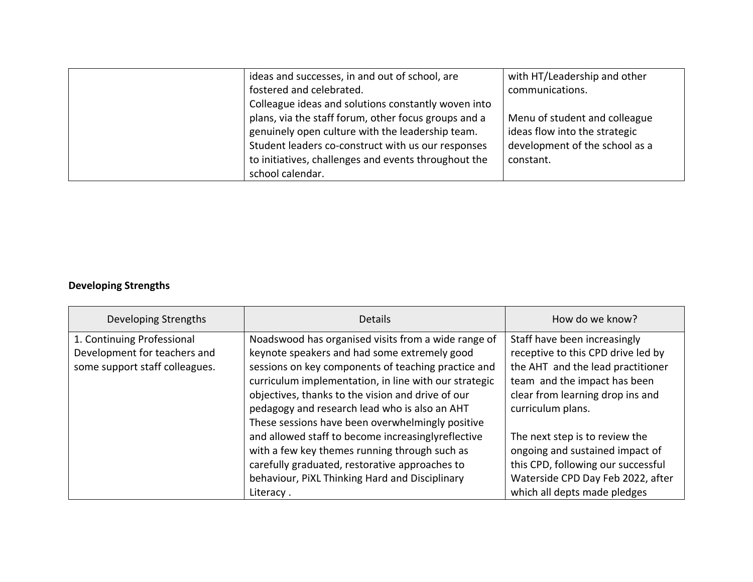| ideas and successes, in and out of school, are       | with HT/Leadership and other   |
|------------------------------------------------------|--------------------------------|
| fostered and celebrated.                             | communications.                |
| Colleague ideas and solutions constantly woven into  |                                |
| plans, via the staff forum, other focus groups and a | Menu of student and colleague  |
| genuinely open culture with the leadership team.     | ideas flow into the strategic  |
| Student leaders co-construct with us our responses   | development of the school as a |
| to initiatives, challenges and events throughout the | constant.                      |
| school calendar.                                     |                                |

## **Developing Strengths**

| Developing Strengths           | <b>Details</b>                                        | How do we know?                    |
|--------------------------------|-------------------------------------------------------|------------------------------------|
| 1. Continuing Professional     | Noadswood has organised visits from a wide range of   | Staff have been increasingly       |
| Development for teachers and   | keynote speakers and had some extremely good          | receptive to this CPD drive led by |
| some support staff colleagues. | sessions on key components of teaching practice and   | the AHT and the lead practitioner  |
|                                | curriculum implementation, in line with our strategic | team and the impact has been       |
|                                | objectives, thanks to the vision and drive of our     | clear from learning drop ins and   |
|                                | pedagogy and research lead who is also an AHT         | curriculum plans.                  |
|                                | These sessions have been overwhelmingly positive      |                                    |
|                                | and allowed staff to become increasinglyreflective    | The next step is to review the     |
|                                | with a few key themes running through such as         | ongoing and sustained impact of    |
|                                | carefully graduated, restorative approaches to        | this CPD, following our successful |
|                                | behaviour, PiXL Thinking Hard and Disciplinary        | Waterside CPD Day Feb 2022, after  |
|                                | Literacy.                                             | which all depts made pledges       |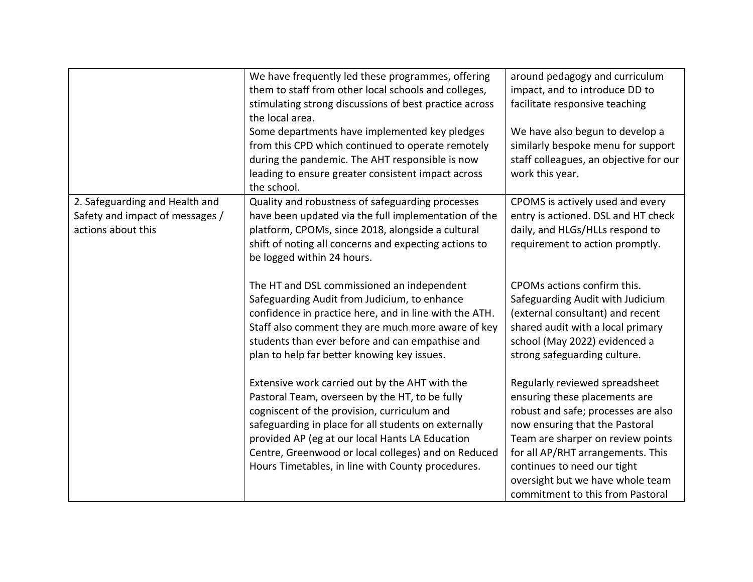| We have frequently led these programmes, offering      | around pedagogy and curriculum                                                                                                                                                                                                                                                                                                                                                                      |
|--------------------------------------------------------|-----------------------------------------------------------------------------------------------------------------------------------------------------------------------------------------------------------------------------------------------------------------------------------------------------------------------------------------------------------------------------------------------------|
| them to staff from other local schools and colleges,   | impact, and to introduce DD to                                                                                                                                                                                                                                                                                                                                                                      |
| stimulating strong discussions of best practice across | facilitate responsive teaching                                                                                                                                                                                                                                                                                                                                                                      |
| the local area.                                        |                                                                                                                                                                                                                                                                                                                                                                                                     |
| Some departments have implemented key pledges          | We have also begun to develop a                                                                                                                                                                                                                                                                                                                                                                     |
| from this CPD which continued to operate remotely      | similarly bespoke menu for support                                                                                                                                                                                                                                                                                                                                                                  |
| during the pandemic. The AHT responsible is now        | staff colleagues, an objective for our                                                                                                                                                                                                                                                                                                                                                              |
| leading to ensure greater consistent impact across     | work this year.                                                                                                                                                                                                                                                                                                                                                                                     |
| the school.                                            |                                                                                                                                                                                                                                                                                                                                                                                                     |
| Quality and robustness of safeguarding processes       | CPOMS is actively used and every                                                                                                                                                                                                                                                                                                                                                                    |
| have been updated via the full implementation of the   | entry is actioned. DSL and HT check                                                                                                                                                                                                                                                                                                                                                                 |
| platform, CPOMs, since 2018, alongside a cultural      | daily, and HLGs/HLLs respond to                                                                                                                                                                                                                                                                                                                                                                     |
|                                                        | requirement to action promptly.                                                                                                                                                                                                                                                                                                                                                                     |
|                                                        |                                                                                                                                                                                                                                                                                                                                                                                                     |
|                                                        |                                                                                                                                                                                                                                                                                                                                                                                                     |
|                                                        | CPOMs actions confirm this.                                                                                                                                                                                                                                                                                                                                                                         |
|                                                        | Safeguarding Audit with Judicium                                                                                                                                                                                                                                                                                                                                                                    |
|                                                        | (external consultant) and recent                                                                                                                                                                                                                                                                                                                                                                    |
|                                                        | shared audit with a local primary                                                                                                                                                                                                                                                                                                                                                                   |
|                                                        | school (May 2022) evidenced a                                                                                                                                                                                                                                                                                                                                                                       |
|                                                        | strong safeguarding culture.                                                                                                                                                                                                                                                                                                                                                                        |
|                                                        |                                                                                                                                                                                                                                                                                                                                                                                                     |
| Extensive work carried out by the AHT with the         | Regularly reviewed spreadsheet                                                                                                                                                                                                                                                                                                                                                                      |
| Pastoral Team, overseen by the HT, to be fully         | ensuring these placements are                                                                                                                                                                                                                                                                                                                                                                       |
| cogniscent of the provision, curriculum and            | robust and safe; processes are also                                                                                                                                                                                                                                                                                                                                                                 |
| safeguarding in place for all students on externally   | now ensuring that the Pastoral                                                                                                                                                                                                                                                                                                                                                                      |
| provided AP (eg at our local Hants LA Education        | Team are sharper on review points                                                                                                                                                                                                                                                                                                                                                                   |
| Centre, Greenwood or local colleges) and on Reduced    | for all AP/RHT arrangements. This                                                                                                                                                                                                                                                                                                                                                                   |
| Hours Timetables, in line with County procedures.      | continues to need our tight                                                                                                                                                                                                                                                                                                                                                                         |
|                                                        | oversight but we have whole team                                                                                                                                                                                                                                                                                                                                                                    |
|                                                        | commitment to this from Pastoral                                                                                                                                                                                                                                                                                                                                                                    |
|                                                        | shift of noting all concerns and expecting actions to<br>be logged within 24 hours.<br>The HT and DSL commissioned an independent<br>Safeguarding Audit from Judicium, to enhance<br>confidence in practice here, and in line with the ATH.<br>Staff also comment they are much more aware of key<br>students than ever before and can empathise and<br>plan to help far better knowing key issues. |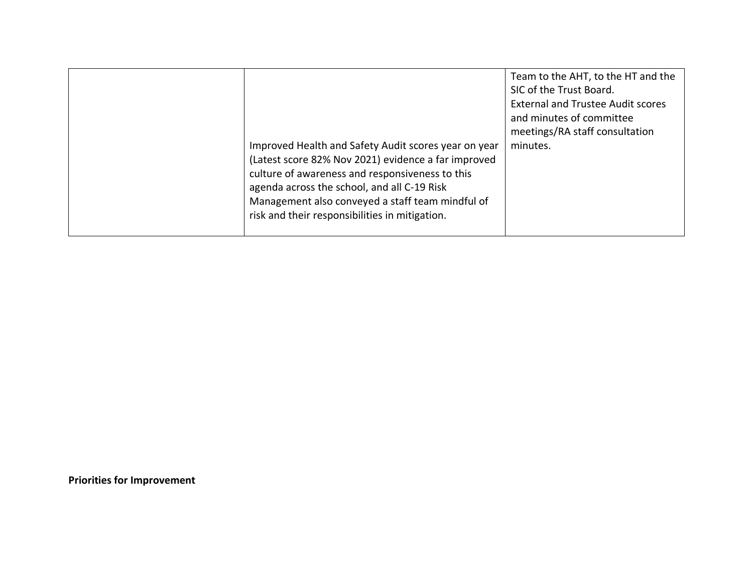|  | Improved Health and Safety Audit scores year on year<br>(Latest score 82% Nov 2021) evidence a far improved<br>culture of awareness and responsiveness to this<br>agenda across the school, and all C-19 Risk<br>Management also conveyed a staff team mindful of<br>risk and their responsibilities in mitigation. | Team to the AHT, to the HT and the<br>SIC of the Trust Board.<br><b>External and Trustee Audit scores</b><br>and minutes of committee<br>meetings/RA staff consultation<br>minutes. |
|--|---------------------------------------------------------------------------------------------------------------------------------------------------------------------------------------------------------------------------------------------------------------------------------------------------------------------|-------------------------------------------------------------------------------------------------------------------------------------------------------------------------------------|
|--|---------------------------------------------------------------------------------------------------------------------------------------------------------------------------------------------------------------------------------------------------------------------------------------------------------------------|-------------------------------------------------------------------------------------------------------------------------------------------------------------------------------------|

**Priorities for Improvement**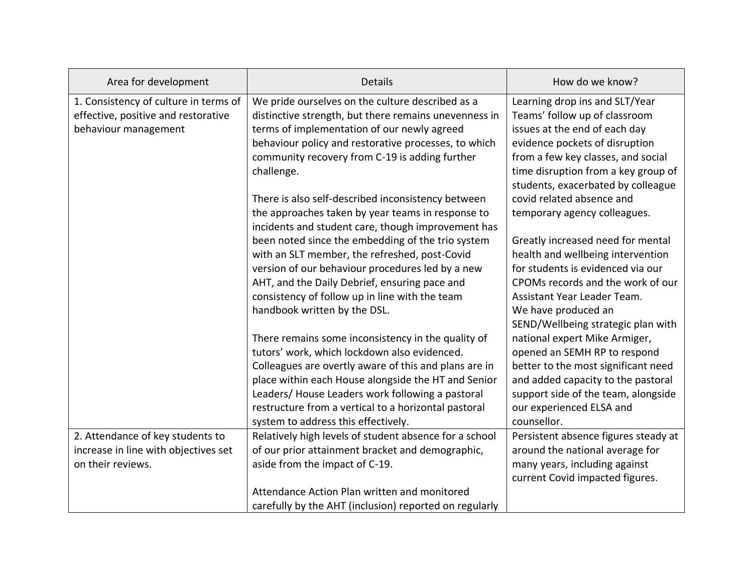| Area for development                  | <b>Details</b>                                         | How do we know?                      |
|---------------------------------------|--------------------------------------------------------|--------------------------------------|
| 1. Consistency of culture in terms of | We pride ourselves on the culture described as a       | Learning drop ins and SLT/Year       |
| effective, positive and restorative   | distinctive strength, but there remains unevenness in  | Teams' follow up of classroom        |
| behaviour management                  | terms of implementation of our newly agreed            | issues at the end of each day        |
|                                       | behaviour policy and restorative processes, to which   | evidence pockets of disruption       |
|                                       | community recovery from C-19 is adding further         | from a few key classes, and social   |
|                                       | challenge.                                             | time disruption from a key group of  |
|                                       |                                                        | students, exacerbated by colleague   |
|                                       | There is also self-described inconsistency between     | covid related absence and            |
|                                       | the approaches taken by year teams in response to      | temporary agency colleagues.         |
|                                       | incidents and student care, though improvement has     |                                      |
|                                       | been noted since the embedding of the trio system      | Greatly increased need for mental    |
|                                       | with an SLT member, the refreshed, post-Covid          | health and wellbeing intervention    |
|                                       | version of our behaviour procedures led by a new       | for students is evidenced via our    |
|                                       | AHT, and the Daily Debrief, ensuring pace and          | CPOMs records and the work of our    |
|                                       | consistency of follow up in line with the team         | Assistant Year Leader Team.          |
|                                       | handbook written by the DSL.                           | We have produced an                  |
|                                       |                                                        | SEND/Wellbeing strategic plan with   |
|                                       | There remains some inconsistency in the quality of     | national expert Mike Armiger,        |
|                                       | tutors' work, which lockdown also evidenced.           | opened an SEMH RP to respond         |
|                                       | Colleagues are overtly aware of this and plans are in  | better to the most significant need  |
|                                       | place within each House alongside the HT and Senior    | and added capacity to the pastoral   |
|                                       | Leaders/ House Leaders work following a pastoral       | support side of the team, alongside  |
|                                       | restructure from a vertical to a horizontal pastoral   | our experienced ELSA and             |
|                                       | system to address this effectively.                    | counsellor.                          |
| 2. Attendance of key students to      | Relatively high levels of student absence for a school | Persistent absence figures steady at |
| increase in line with objectives set  | of our prior attainment bracket and demographic,       | around the national average for      |
| on their reviews.                     | aside from the impact of C-19.                         | many years, including against        |
|                                       |                                                        | current Covid impacted figures.      |
|                                       | Attendance Action Plan written and monitored           |                                      |
|                                       | carefully by the AHT (inclusion) reported on regularly |                                      |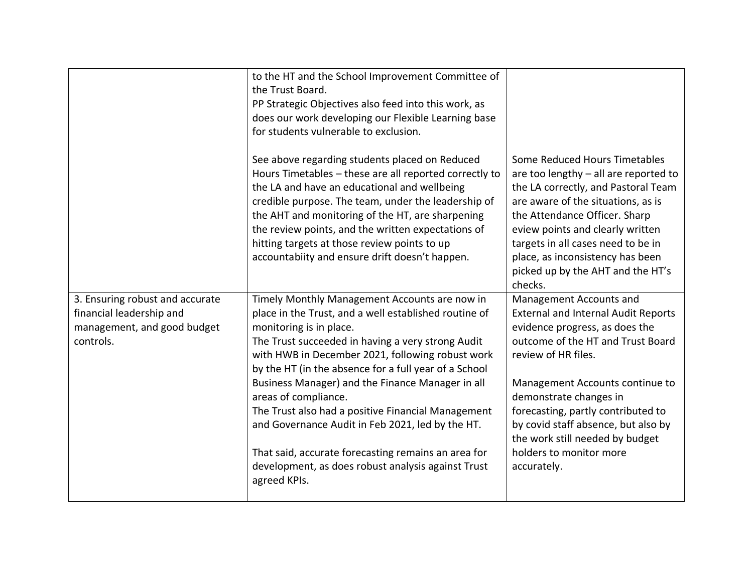|                                                         | to the HT and the School Improvement Committee of<br>the Trust Board.<br>PP Strategic Objectives also feed into this work, as<br>does our work developing our Flexible Learning base<br>for students vulnerable to exclusion.                                                                                                                                                                                               |                                                                                                                                                                                                                                                                                                                                                    |
|---------------------------------------------------------|-----------------------------------------------------------------------------------------------------------------------------------------------------------------------------------------------------------------------------------------------------------------------------------------------------------------------------------------------------------------------------------------------------------------------------|----------------------------------------------------------------------------------------------------------------------------------------------------------------------------------------------------------------------------------------------------------------------------------------------------------------------------------------------------|
|                                                         | See above regarding students placed on Reduced<br>Hours Timetables - these are all reported correctly to<br>the LA and have an educational and wellbeing<br>credible purpose. The team, under the leadership of<br>the AHT and monitoring of the HT, are sharpening<br>the review points, and the written expectations of<br>hitting targets at those review points to up<br>accountabiity and ensure drift doesn't happen. | Some Reduced Hours Timetables<br>are too lengthy - all are reported to<br>the LA correctly, and Pastoral Team<br>are aware of the situations, as is<br>the Attendance Officer. Sharp<br>eview points and clearly written<br>targets in all cases need to be in<br>place, as inconsistency has been<br>picked up by the AHT and the HT's<br>checks. |
| 3. Ensuring robust and accurate                         | Timely Monthly Management Accounts are now in                                                                                                                                                                                                                                                                                                                                                                               | Management Accounts and                                                                                                                                                                                                                                                                                                                            |
| financial leadership and<br>management, and good budget | place in the Trust, and a well established routine of<br>monitoring is in place.                                                                                                                                                                                                                                                                                                                                            | <b>External and Internal Audit Reports</b><br>evidence progress, as does the                                                                                                                                                                                                                                                                       |
| controls.                                               | The Trust succeeded in having a very strong Audit<br>with HWB in December 2021, following robust work<br>by the HT (in the absence for a full year of a School                                                                                                                                                                                                                                                              | outcome of the HT and Trust Board<br>review of HR files.                                                                                                                                                                                                                                                                                           |
|                                                         | Business Manager) and the Finance Manager in all<br>areas of compliance.                                                                                                                                                                                                                                                                                                                                                    | Management Accounts continue to<br>demonstrate changes in                                                                                                                                                                                                                                                                                          |
|                                                         | The Trust also had a positive Financial Management                                                                                                                                                                                                                                                                                                                                                                          | forecasting, partly contributed to                                                                                                                                                                                                                                                                                                                 |
|                                                         | and Governance Audit in Feb 2021, led by the HT.                                                                                                                                                                                                                                                                                                                                                                            | by covid staff absence, but also by<br>the work still needed by budget                                                                                                                                                                                                                                                                             |
|                                                         | That said, accurate forecasting remains an area for<br>development, as does robust analysis against Trust<br>agreed KPIs.                                                                                                                                                                                                                                                                                                   | holders to monitor more<br>accurately.                                                                                                                                                                                                                                                                                                             |
|                                                         |                                                                                                                                                                                                                                                                                                                                                                                                                             |                                                                                                                                                                                                                                                                                                                                                    |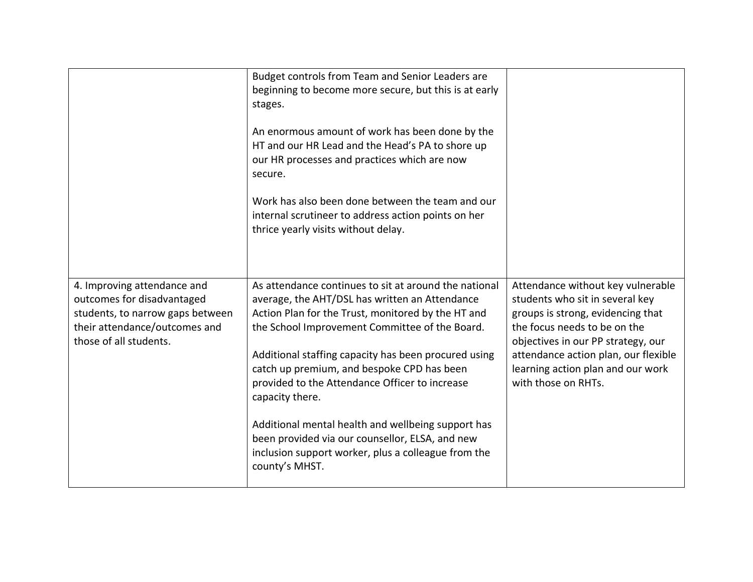|                                                                                                                                                          | Budget controls from Team and Senior Leaders are<br>beginning to become more secure, but this is at early<br>stages.<br>An enormous amount of work has been done by the<br>HT and our HR Lead and the Head's PA to shore up<br>our HR processes and practices which are now<br>secure.<br>Work has also been done between the team and our<br>internal scrutineer to address action points on her<br>thrice yearly visits without delay.                                                                                                                                     |                                                                                                                                                                                                                                                                                     |
|----------------------------------------------------------------------------------------------------------------------------------------------------------|------------------------------------------------------------------------------------------------------------------------------------------------------------------------------------------------------------------------------------------------------------------------------------------------------------------------------------------------------------------------------------------------------------------------------------------------------------------------------------------------------------------------------------------------------------------------------|-------------------------------------------------------------------------------------------------------------------------------------------------------------------------------------------------------------------------------------------------------------------------------------|
|                                                                                                                                                          |                                                                                                                                                                                                                                                                                                                                                                                                                                                                                                                                                                              |                                                                                                                                                                                                                                                                                     |
| 4. Improving attendance and<br>outcomes for disadvantaged<br>students, to narrow gaps between<br>their attendance/outcomes and<br>those of all students. | As attendance continues to sit at around the national<br>average, the AHT/DSL has written an Attendance<br>Action Plan for the Trust, monitored by the HT and<br>the School Improvement Committee of the Board.<br>Additional staffing capacity has been procured using<br>catch up premium, and bespoke CPD has been<br>provided to the Attendance Officer to increase<br>capacity there.<br>Additional mental health and wellbeing support has<br>been provided via our counsellor, ELSA, and new<br>inclusion support worker, plus a colleague from the<br>county's MHST. | Attendance without key vulnerable<br>students who sit in several key<br>groups is strong, evidencing that<br>the focus needs to be on the<br>objectives in our PP strategy, our<br>attendance action plan, our flexible<br>learning action plan and our work<br>with those on RHTs. |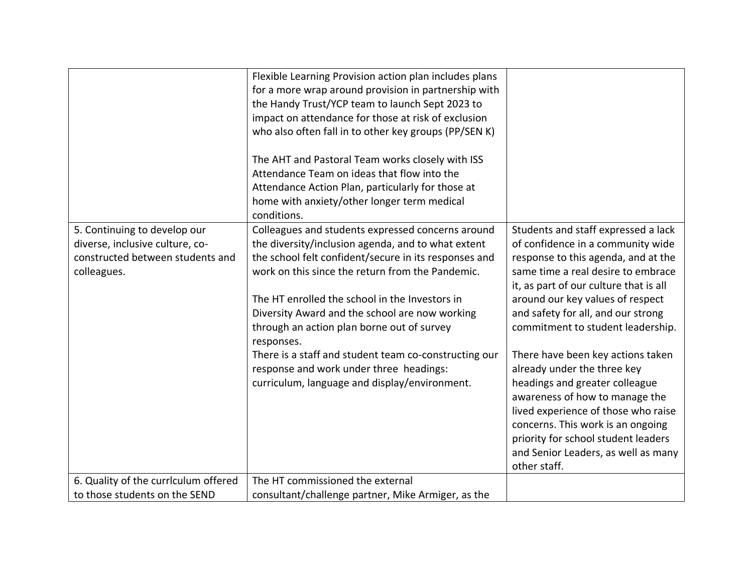|                                                                                                                    | Flexible Learning Provision action plan includes plans<br>for a more wrap around provision in partnership with<br>the Handy Trust/YCP team to launch Sept 2023 to<br>impact on attendance for those at risk of exclusion<br>who also often fall in to other key groups (PP/SEN K)<br>The AHT and Pastoral Team works closely with ISS<br>Attendance Team on ideas that flow into the<br>Attendance Action Plan, particularly for those at<br>home with anxiety/other longer term medical<br>conditions.                                   |                                                                                                                                                                                                                                                                                                                                                                                                                                                                                                                                                                           |
|--------------------------------------------------------------------------------------------------------------------|-------------------------------------------------------------------------------------------------------------------------------------------------------------------------------------------------------------------------------------------------------------------------------------------------------------------------------------------------------------------------------------------------------------------------------------------------------------------------------------------------------------------------------------------|---------------------------------------------------------------------------------------------------------------------------------------------------------------------------------------------------------------------------------------------------------------------------------------------------------------------------------------------------------------------------------------------------------------------------------------------------------------------------------------------------------------------------------------------------------------------------|
| 5. Continuing to develop our<br>diverse, inclusive culture, co-<br>constructed between students and<br>colleagues. | Colleagues and students expressed concerns around<br>the diversity/inclusion agenda, and to what extent<br>the school felt confident/secure in its responses and<br>work on this since the return from the Pandemic.<br>The HT enrolled the school in the Investors in<br>Diversity Award and the school are now working<br>through an action plan borne out of survey<br>responses.<br>There is a staff and student team co-constructing our<br>response and work under three headings:<br>curriculum, language and display/environment. | Students and staff expressed a lack<br>of confidence in a community wide<br>response to this agenda, and at the<br>same time a real desire to embrace<br>it, as part of our culture that is all<br>around our key values of respect<br>and safety for all, and our strong<br>commitment to student leadership.<br>There have been key actions taken<br>already under the three key<br>headings and greater colleague<br>awareness of how to manage the<br>lived experience of those who raise<br>concerns. This work is an ongoing<br>priority for school student leaders |
|                                                                                                                    |                                                                                                                                                                                                                                                                                                                                                                                                                                                                                                                                           | and Senior Leaders, as well as many<br>other staff.                                                                                                                                                                                                                                                                                                                                                                                                                                                                                                                       |
| 6. Quality of the currlculum offered                                                                               | The HT commissioned the external                                                                                                                                                                                                                                                                                                                                                                                                                                                                                                          |                                                                                                                                                                                                                                                                                                                                                                                                                                                                                                                                                                           |
| to those students on the SEND                                                                                      | consultant/challenge partner, Mike Armiger, as the                                                                                                                                                                                                                                                                                                                                                                                                                                                                                        |                                                                                                                                                                                                                                                                                                                                                                                                                                                                                                                                                                           |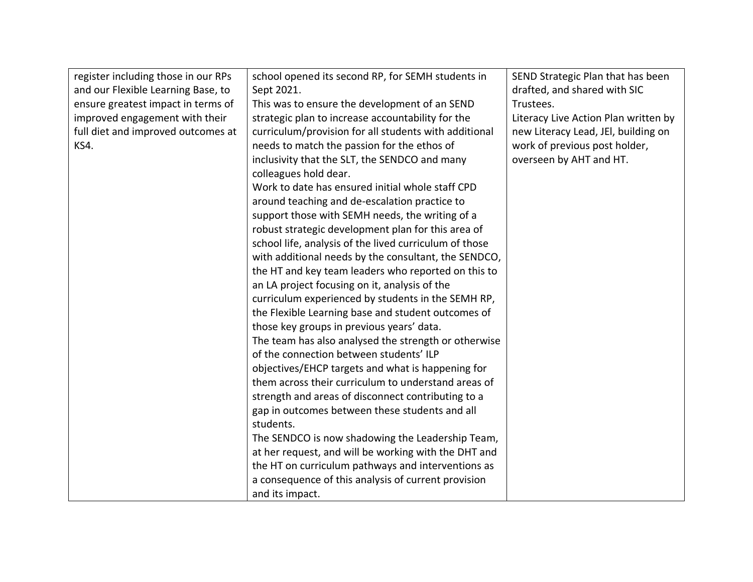| register including those in our RPs | school opened its second RP, for SEMH students in      | SEND Strategic Plan that has been    |
|-------------------------------------|--------------------------------------------------------|--------------------------------------|
| and our Flexible Learning Base, to  | Sept 2021.                                             | drafted, and shared with SIC         |
| ensure greatest impact in terms of  | This was to ensure the development of an SEND          | Trustees.                            |
| improved engagement with their      | strategic plan to increase accountability for the      | Literacy Live Action Plan written by |
| full diet and improved outcomes at  | curriculum/provision for all students with additional  | new Literacy Lead, JEI, building on  |
| KS4.                                | needs to match the passion for the ethos of            | work of previous post holder,        |
|                                     | inclusivity that the SLT, the SENDCO and many          | overseen by AHT and HT.              |
|                                     | colleagues hold dear.                                  |                                      |
|                                     | Work to date has ensured initial whole staff CPD       |                                      |
|                                     | around teaching and de-escalation practice to          |                                      |
|                                     | support those with SEMH needs, the writing of a        |                                      |
|                                     | robust strategic development plan for this area of     |                                      |
|                                     | school life, analysis of the lived curriculum of those |                                      |
|                                     | with additional needs by the consultant, the SENDCO,   |                                      |
|                                     | the HT and key team leaders who reported on this to    |                                      |
|                                     | an LA project focusing on it, analysis of the          |                                      |
|                                     | curriculum experienced by students in the SEMH RP,     |                                      |
|                                     | the Flexible Learning base and student outcomes of     |                                      |
|                                     | those key groups in previous years' data.              |                                      |
|                                     | The team has also analysed the strength or otherwise   |                                      |
|                                     | of the connection between students' ILP                |                                      |
|                                     | objectives/EHCP targets and what is happening for      |                                      |
|                                     | them across their curriculum to understand areas of    |                                      |
|                                     | strength and areas of disconnect contributing to a     |                                      |
|                                     | gap in outcomes between these students and all         |                                      |
|                                     | students.                                              |                                      |
|                                     | The SENDCO is now shadowing the Leadership Team,       |                                      |
|                                     | at her request, and will be working with the DHT and   |                                      |
|                                     | the HT on curriculum pathways and interventions as     |                                      |
|                                     | a consequence of this analysis of current provision    |                                      |
|                                     | and its impact.                                        |                                      |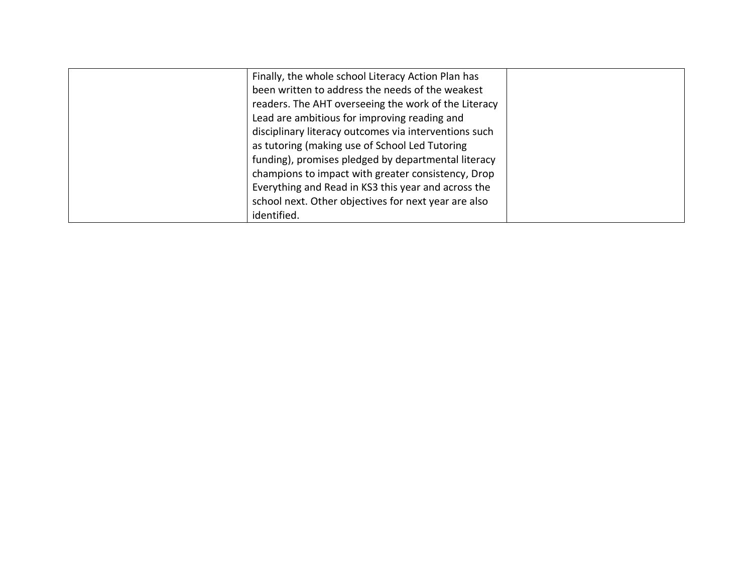| Finally, the whole school Literacy Action Plan has    |  |
|-------------------------------------------------------|--|
| been written to address the needs of the weakest      |  |
| readers. The AHT overseeing the work of the Literacy  |  |
| Lead are ambitious for improving reading and          |  |
| disciplinary literacy outcomes via interventions such |  |
| as tutoring (making use of School Led Tutoring        |  |
| funding), promises pledged by departmental literacy   |  |
| champions to impact with greater consistency, Drop    |  |
| Everything and Read in KS3 this year and across the   |  |
| school next. Other objectives for next year are also  |  |
| identified.                                           |  |